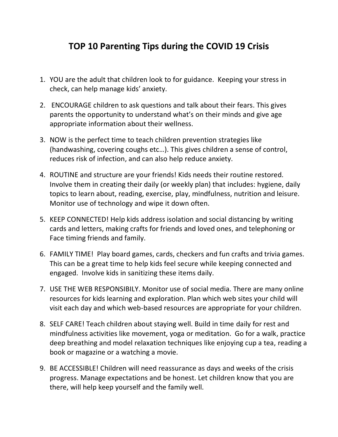## **TOP 10 Parenting Tips during the COVID 19 Crisis**

- 1. YOU are the adult that children look to for guidance. Keeping your stress in check, can help manage kids' anxiety.
- 2. ENCOURAGE children to ask questions and talk about their fears. This gives parents the opportunity to understand what's on their minds and give age appropriate information about their wellness.
- 3. NOW is the perfect time to teach children prevention strategies like (handwashing, covering coughs etc…). This gives children a sense of control, reduces risk of infection, and can also help reduce anxiety.
- 4. ROUTINE and structure are your friends! Kids needs their routine restored. Involve them in creating their daily (or weekly plan) that includes: hygiene, daily topics to learn about, reading, exercise, play, mindfulness, nutrition and leisure. Monitor use of technology and wipe it down often.
- 5. KEEP CONNECTED! Help kids address isolation and social distancing by writing cards and letters, making crafts for friends and loved ones, and telephoning or Face timing friends and family.
- 6. FAMILY TIME! Play board games, cards, checkers and fun crafts and trivia games. This can be a great time to help kids feel secure while keeping connected and engaged. Involve kids in sanitizing these items daily.
- 7. USE THE WEB RESPONSIBILY. Monitor use of social media. There are many online resources for kids learning and exploration. Plan which web sites your child will visit each day and which web-based resources are appropriate for your children.
- 8. SELF CARE! Teach children about staying well. Build in time daily for rest and mindfulness activities like movement, yoga or meditation. Go for a walk, practice deep breathing and model relaxation techniques like enjoying cup a tea, reading a book or magazine or a watching a movie.
- 9. BE ACCESSIBLE! Children will need reassurance as days and weeks of the crisis progress. Manage expectations and be honest. Let children know that you are there, will help keep yourself and the family well.